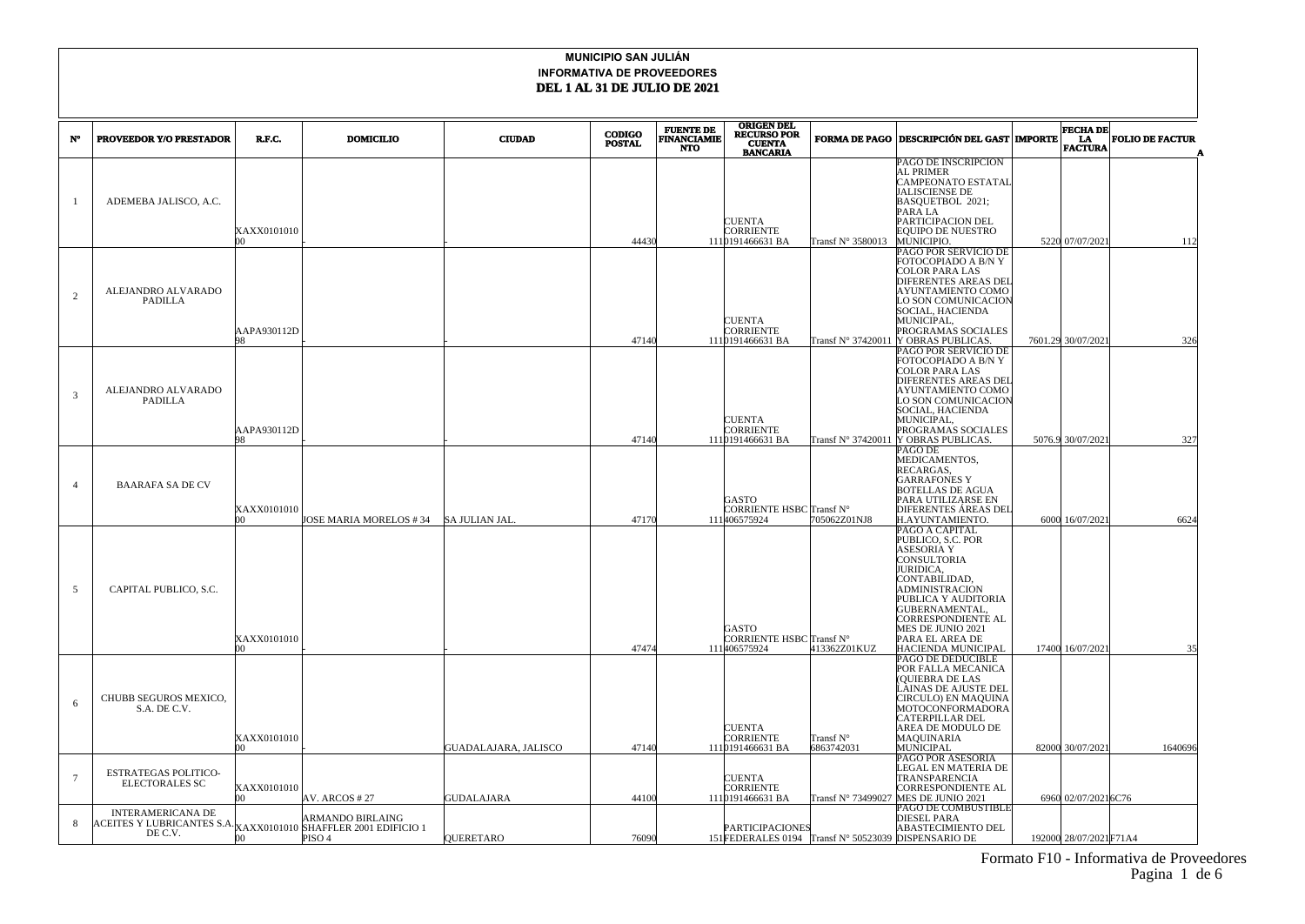| N°              | <b>PROVEEDOR Y/O PRESTADOR</b>                                                                         | R.F.C.                  | <b>DOMICILIO</b>                      | <b>CIUDAD</b>        | <b>CODIGO</b><br><b>POSTAL</b> | <b>FUENTE DE</b><br><b>FINANCIAMIE</b><br><b>NTO</b> | <b>ORIGEN DEL</b><br><b>RECURSO POR</b><br><b>CUENTA</b><br><b>BANCARIA</b> |                         | <b>FORMA DE PAGO DESCRIPCIÓN DEL GAST MPORTE</b>                                                                                                                                                                                                     | <b>FECHA DE</b><br>LA<br><b>FACTURA</b> | <b>FOLIO DE FACTUR</b> |
|-----------------|--------------------------------------------------------------------------------------------------------|-------------------------|---------------------------------------|----------------------|--------------------------------|------------------------------------------------------|-----------------------------------------------------------------------------|-------------------------|------------------------------------------------------------------------------------------------------------------------------------------------------------------------------------------------------------------------------------------------------|-----------------------------------------|------------------------|
|                 | ADEMEBA JALISCO, A.C.                                                                                  | XAXX0101010             |                                       |                      | 44430                          |                                                      | CUENTA<br>CORRIENTE<br>1110191466631 BA                                     | Transf N° 3580013       | PAGO DE INSCRIPCION<br>AL PRIMER<br><b>CAMPEONATO ESTATAL</b><br>JALISCIENSE DE<br>BASQUETBOL 2021;<br>PARA LA<br>PARTICIPACION DEL<br>EQUIPO DE NUESTRO<br>MUNICIPIO.                                                                               | 5220 07/07/202                          | 112                    |
| 2               | ALEJANDRO ALVARADO<br><b>PADILLA</b>                                                                   | AAPA930112D             |                                       |                      | 47140                          |                                                      | <b>CUENTA</b><br>CORRIENTE<br>1110191466631 BA                              | Transf N° 37420011      | PAGO POR SERVICIO DE<br>FOTOCOPIADO A B/N Y<br><b>COLOR PARA LAS</b><br><b>DIFERENTES AREAS DEL</b><br>AYUNTAMIENTO COMO<br>LO SON COMUNICACION<br>SOCIAL, HACIENDA<br>MUNICIPAL,<br>PROGRAMAS SOCIALES<br>Y OBRAS PUBLICAS.                         | 7601.29 30/07/202                       | 326                    |
| 3               | ALEJANDRO ALVARADO<br><b>PADILLA</b>                                                                   | AAPA930112D             |                                       |                      | 47140                          |                                                      | <b>CUENTA</b><br>CORRIENTE<br>1110191466631 BA                              | Transf N° 37420011      | PAGO POR SERVICIO DE<br>FOTOCOPIADO A B/N Y<br>COLOR PARA LAS<br>DIFERENTES AREAS DEI<br>AYUNTAMIENTO COMO<br>LO SON COMUNICACION<br>SOCIAL, HACIENDA<br>MUNICIPAL,<br>PROGRAMAS SOCIALES<br>Y OBRAS PUBLICAS.                                       | 5076.9 30/07/202                        | 327                    |
| $\overline{4}$  | <b>BAARAFA SA DE CV</b>                                                                                | XAXX0101010<br>h۵       | JOSE MARIA MORELOS # 34 SA JULIAN JAL |                      | 47170                          |                                                      | GASTO<br>CORRIENTE HSBC Transf N°<br>111406575924                           | 705062Z01NJ8            | PAGO DE<br>MEDICAMENTOS,<br>RECARGAS.<br><b>GARRAFONES Y</b><br><b>BOTELLAS DE AGUA</b><br>PARA UTILIZARSE EN<br>DIFERENTES ÁREAS DEI<br>H.AYUNTAMIENTO.                                                                                             | 6000 16/07/202                          | 6624                   |
| 5               | CAPITAL PUBLICO, S.C.                                                                                  | XAXX0101010             |                                       |                      | 47474                          |                                                      | GASTO<br>CORRIENTE HSBC Transf N°<br>111406575924                           | 413362Z01KUZ            | PAGO A CAPITAL<br>PUBLICO, S.C. POR<br><b>ASESORIA Y</b><br>CONSULTORIA<br>JURIDICA,<br>CONTABILIDAD,<br>ADMINISTRACION<br>PUBLICA Y AUDITORIA<br>GUBERNAMENTAL,<br>CORRESPONDIENTE AL<br>MES DE JUNIO 2021<br>PARA EL AREA DE<br>HACIENDA MUNICIPAL | 17400 16/07/202                         | 35                     |
| 6               | CHUBB SEGUROS MEXICO,<br>S.A. DE C.V.                                                                  | XAXX0101010<br>$\infty$ |                                       | GUADALAJARA, JALISCO | 47140                          |                                                      | <b>CUENTA</b><br>CORRIENTE<br>1110191466631 BA                              | Transf N°<br>6863742031 | PAGO DE DEDUCIBLE<br>POR FALLA MECANICA<br>(OUIEBRA DE LAS<br>LAINAS DE AJUSTE DEL<br>CIRCULO) EN MAQUINA<br>MOTOCONFORMADORA<br>CATERPILLAR DEL<br>AREA DE MODULO DE<br><b>MAQUINARIA</b><br>MUNICIPAL                                              | 82000 30/07/2021                        | 1640696                |
| $7\phantom{.0}$ | <b>ESTRATEGAS POLITICO-</b><br><b>ELECTORALES SC</b>                                                   | XAXX0101010<br>m        | AV. ARCOS #27                         | GUDALAJARA           | 44100                          |                                                      | CUENTA<br>CORRIENTE<br>1110191466631 BA                                     | Transf N° 73499027      | PAGO POR ASESORIA<br>LEGAL EN MATERIA DE<br>TRANSPARENCIA<br>CORRESPONDIENTE AL<br>MES DE JUNIO 2021                                                                                                                                                 | 6960 02/07/2021 6C76                    |                        |
| 8               | <b>INTERAMERICANA DE</b><br>ACEITES Y LUBRICANTES S.A. XAXX0101010 SHAFFLER 2001 EDIFICIO 1<br>DE C.V. | 00 <sup>1</sup>         | ARMANDO BIRLAING<br>PISO <sub>4</sub> | QUERETARO            | 76090                          |                                                      | <b>PARTICIPACIONES</b><br>151 FEDERALES 0194 Transf N° 50523039             |                         | PAGO DE COMBUSTIBLE<br>DIESEL PARA<br>ABASTECIMIENTO DEL<br><b>DISPENSARIO DE</b>                                                                                                                                                                    | 192000 28/07/2021 F71A4                 |                        |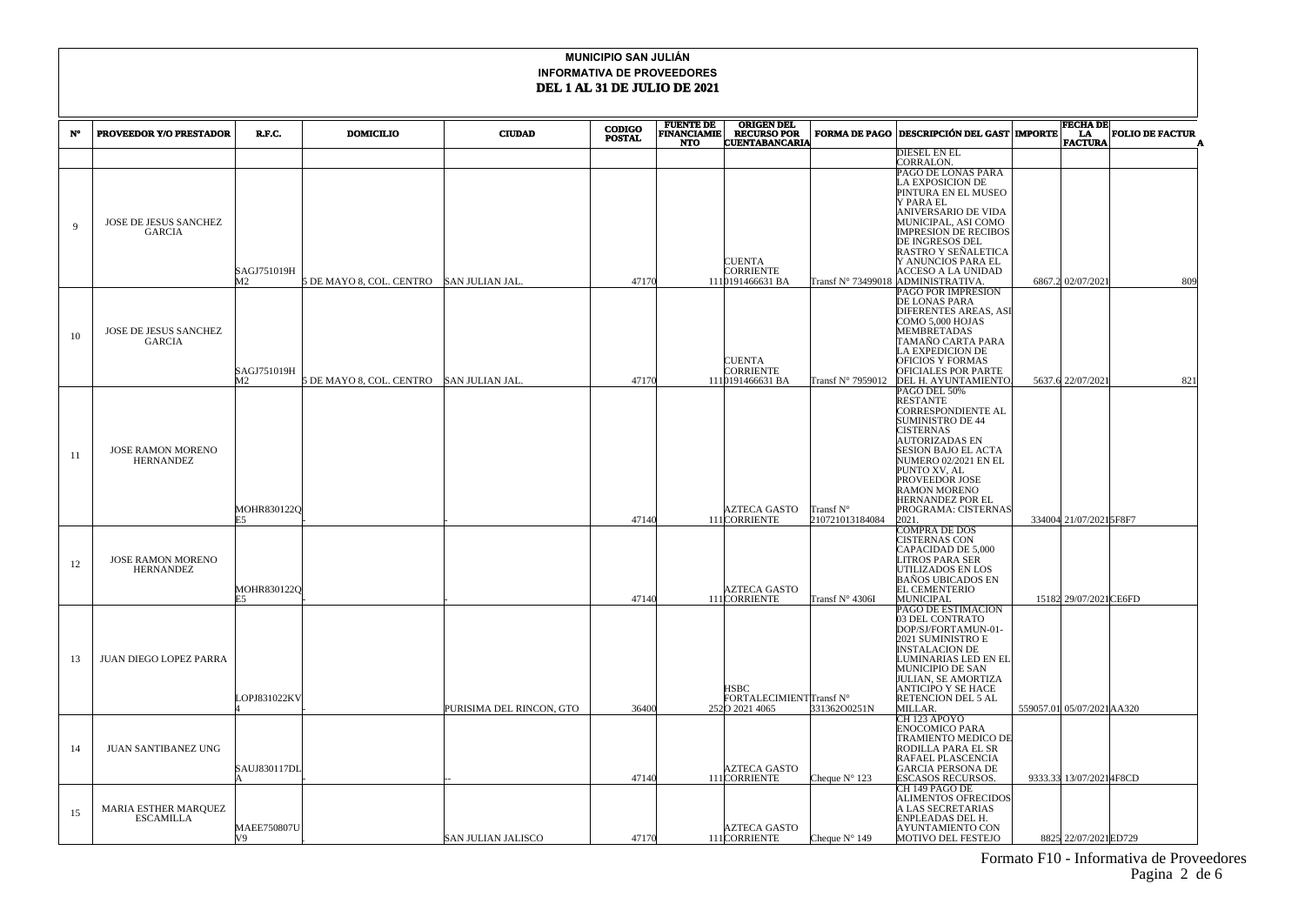|             |                                              |                    |                                          |                          | <b>CODIGO</b> | <b>FUENTE DE</b>                 | <b>ORIGEN DEL</b>                    |                        | <b>FECHA DE</b>                                    |                            |                        |
|-------------|----------------------------------------------|--------------------|------------------------------------------|--------------------------|---------------|----------------------------------|--------------------------------------|------------------------|----------------------------------------------------|----------------------------|------------------------|
| N°          | <b>PROVEEDOR Y/O PRESTADOR</b>               | R.F.C.             | <b>DOMICILIO</b>                         | <b>CIUDAD</b>            | <b>POSTAL</b> | <b>FINANCIAMIE</b><br><b>NTO</b> | RECURSO POR<br>CUENTABANCARIA        |                        | FORMA DE PAGO DESCRIPCIÓN DEL GAST MPORTE          | <b>EA</b><br>FACTURA       | <b>FOLIO DE FACTUR</b> |
|             |                                              |                    |                                          |                          |               |                                  |                                      |                        | DIESEL EN EL                                       |                            |                        |
|             |                                              |                    |                                          |                          |               |                                  |                                      |                        | CORRALON.<br>PAGO DE LONAS PARA                    |                            |                        |
|             |                                              |                    |                                          |                          |               |                                  |                                      |                        | A EXPOSICION DE                                    |                            |                        |
|             |                                              |                    |                                          |                          |               |                                  |                                      |                        | PINTURA EN EL MUSEO                                |                            |                        |
|             |                                              |                    |                                          |                          |               |                                  |                                      |                        | Y PARA EL                                          |                            |                        |
|             | JOSE DE JESUS SANCHEZ                        |                    |                                          |                          |               |                                  |                                      |                        | ANIVERSARIO DE VIDA<br>MUNICIPAL, ASI COMO         |                            |                        |
| $\mathbf Q$ | GARCIA                                       |                    |                                          |                          |               |                                  |                                      |                        | <b>IMPRESION DE RECIBOS</b>                        |                            |                        |
|             |                                              |                    |                                          |                          |               |                                  |                                      |                        | DE INGRESOS DEL                                    |                            |                        |
|             |                                              |                    |                                          |                          |               |                                  | <b>CUENTA</b>                        |                        | RASTRO Y SEÑALETICA<br>Y ANUNCIOS PARA EL          |                            |                        |
|             |                                              | SAGJ751019H        |                                          |                          |               |                                  | <b>CORRIENTE</b>                     |                        | ACCESO A LA UNIDAD                                 |                            |                        |
|             |                                              | M <sub>2</sub>     | 5 DE MAYO 8, COL. CENTRO                 | SAN JULIAN JAL           | 47170         |                                  | 1110191466631 BA                     | Transf N° 73499018     | ADMINISTRATIVA.                                    | 6867.2 02/07/2021          | 809                    |
|             |                                              |                    |                                          |                          |               |                                  |                                      |                        | <b>PAGO POR IMPRESION</b><br>DE LONAS PARA         |                            |                        |
|             |                                              |                    |                                          |                          |               |                                  |                                      |                        | DIFERENTES AREAS, ASI                              |                            |                        |
|             |                                              |                    |                                          |                          |               |                                  |                                      |                        | COMO 5,000 HOJAS                                   |                            |                        |
| 10          | JOSE DE JESUS SANCHEZ<br><b>GARCIA</b>       |                    |                                          |                          |               |                                  |                                      |                        | <b>MEMBRETADAS</b><br>TAMAÑO CARTA PARA            |                            |                        |
|             |                                              |                    |                                          |                          |               |                                  |                                      |                        | LA EXPEDICION DE                                   |                            |                        |
|             |                                              |                    |                                          |                          |               |                                  | <b>CUENTA</b>                        |                        | <b>OFICIOS Y FORMAS</b>                            |                            |                        |
|             |                                              | SAGJ751019H<br>M2  | 5 DE MAYO 8, COL. CENTRO SAN JULIAN JAL. |                          | 47170         |                                  | <b>CORRIENTE</b><br>1110191466631 BA | Transf N° 7959012      | OFICIALES POR PARTE<br>DEL H. AYUNTAMIENTO         | 5637.6 22/07/2021          | 821                    |
|             |                                              |                    |                                          |                          |               |                                  |                                      |                        | PAGO DEL 50%                                       |                            |                        |
|             |                                              |                    |                                          |                          |               |                                  |                                      |                        | RESTANTE                                           |                            |                        |
|             |                                              |                    |                                          |                          |               |                                  |                                      |                        | CORRESPONDIENTE AL<br><b>SUMINISTRO DE 44</b>      |                            |                        |
|             |                                              |                    |                                          |                          |               |                                  |                                      |                        | <b>CISTERNAS</b>                                   |                            |                        |
|             |                                              |                    |                                          |                          |               |                                  |                                      |                        | <b>AUTORIZADAS EN</b>                              |                            |                        |
| 11          | <b>JOSE RAMON MORENO</b><br><b>HERNANDEZ</b> |                    |                                          |                          |               |                                  |                                      |                        | <b>SESION BAJO EL ACTA</b><br>NUMERO 02/2021 EN EL |                            |                        |
|             |                                              |                    |                                          |                          |               |                                  |                                      |                        | PUNTO XV, AL                                       |                            |                        |
|             |                                              |                    |                                          |                          |               |                                  |                                      |                        | PROVEEDOR JOSE                                     |                            |                        |
|             |                                              |                    |                                          |                          |               |                                  |                                      |                        | <b>RAMON MORENO</b><br><b>HERNANDEZ POR EL</b>     |                            |                        |
|             |                                              | MOHR8301220        |                                          |                          |               |                                  | AZTECA GASTO                         | Transf N°              | PROGRAMA: CISTERNAS                                |                            |                        |
|             |                                              |                    |                                          |                          | 47140         |                                  | 111 CORRIENTE                        | 210721013184084        | 2021.                                              | 334004 21/07/20215F8F7     |                        |
|             |                                              |                    |                                          |                          |               |                                  |                                      |                        | COMPRA DE DOS<br>CISTERNAS CON                     |                            |                        |
|             |                                              |                    |                                          |                          |               |                                  |                                      |                        | CAPACIDAD DE 5,000                                 |                            |                        |
| 12          | <b>JOSE RAMON MORENO</b>                     |                    |                                          |                          |               |                                  |                                      |                        | LITROS PARA SER                                    |                            |                        |
|             | <b>HERNANDEZ</b>                             |                    |                                          |                          |               |                                  |                                      |                        | UTILIZADOS EN LOS<br><b>BAÑOS UBICADOS EN</b>      |                            |                        |
|             |                                              | MOHR8301220        |                                          |                          |               |                                  | <b>AZTECA GASTO</b>                  |                        | <b>EL CEMENTERIO</b>                               |                            |                        |
|             |                                              | F5.                |                                          |                          | 47140         |                                  | 111 CORRIENTE                        | Transf N° 4306I        | <b>MUNICIPAL</b>                                   | 15182 29/07/2021 CE6FD     |                        |
|             |                                              |                    |                                          |                          |               |                                  |                                      |                        | PAGO DE ESTIMACION<br>03 DEL CONTRATO              |                            |                        |
|             |                                              |                    |                                          |                          |               |                                  |                                      |                        | DOP/SJ/FORTAMUN-01-                                |                            |                        |
|             |                                              |                    |                                          |                          |               |                                  |                                      |                        | 2021 SUMINISTRO E                                  |                            |                        |
| 13          | <b>JUAN DIEGO LOPEZ PARRA</b>                |                    |                                          |                          |               |                                  |                                      |                        | <b>INSTALACION DE</b><br>LUMINARIAS LED EN EL      |                            |                        |
|             |                                              |                    |                                          |                          |               |                                  |                                      |                        | MUNICIPIO DE SAN                                   |                            |                        |
|             |                                              |                    |                                          |                          |               |                                  | <b>HSBC</b>                          |                        | JULIAN, SE AMORTIZA                                |                            |                        |
|             |                                              | LOPJ831022KV       |                                          |                          |               |                                  | FORTALECIMIENTTransf N°              |                        | ANTICIPO Y SE HACE<br>RETENCION DEL 5 AL           |                            |                        |
|             |                                              |                    |                                          | PURISIMA DEL RINCON, GTO | 36400         |                                  | 2520 2021 4065                       | 331362O0251N           | MILLAR.                                            | 559057.01 05/07/2021 AA320 |                        |
|             |                                              |                    |                                          |                          |               |                                  |                                      |                        | CH 123 APOYO<br><b>ENOCOMICO PARA</b>              |                            |                        |
|             |                                              |                    |                                          |                          |               |                                  |                                      |                        | TRAMIENTO MEDICO DE                                |                            |                        |
| 14          | <b>JUAN SANTIBANEZ UNG</b>                   |                    |                                          |                          |               |                                  |                                      |                        | RODILLA PARA EL SR                                 |                            |                        |
|             |                                              | SAUJ830117DL       |                                          |                          |               |                                  | <b>AZTECA GASTO</b>                  |                        | RAFAEL PLASCENCIA<br><b>GARCIA PERSONA DE</b>      |                            |                        |
|             |                                              |                    |                                          |                          | 47140         |                                  | 111CORRIENTE                         | Cheque $N^{\circ}$ 123 | ESCASOS RECURSOS.                                  | 9333.33 13/07/2021 4F8CD   |                        |
|             |                                              |                    |                                          |                          |               |                                  |                                      |                        | CH 149 PAGO DE                                     |                            |                        |
|             | <b>MARIA ESTHER MARQUEZ</b>                  |                    |                                          |                          |               |                                  |                                      |                        | <b>ALIMENTOS OFRECIDOS</b><br>A LAS SECRETARIAS    |                            |                        |
| 15          | <b>ESCAMILLA</b>                             |                    |                                          |                          |               |                                  |                                      |                        | ENPLEADAS DEL H.                                   |                            |                        |
|             |                                              | <b>MAEE750807U</b> |                                          |                          |               |                                  | <b>AZTECA GASTO</b>                  |                        | <b>AYUNTAMIENTO CON</b>                            |                            |                        |
|             |                                              | V9                 |                                          | SAN JULIAN JALISCO       | 47170         |                                  | 111CORRIENTE                         | Cheque $N^{\circ}$ 149 | <b>MOTIVO DEL FESTEJO</b>                          | 8825 22/07/2021 ED729      |                        |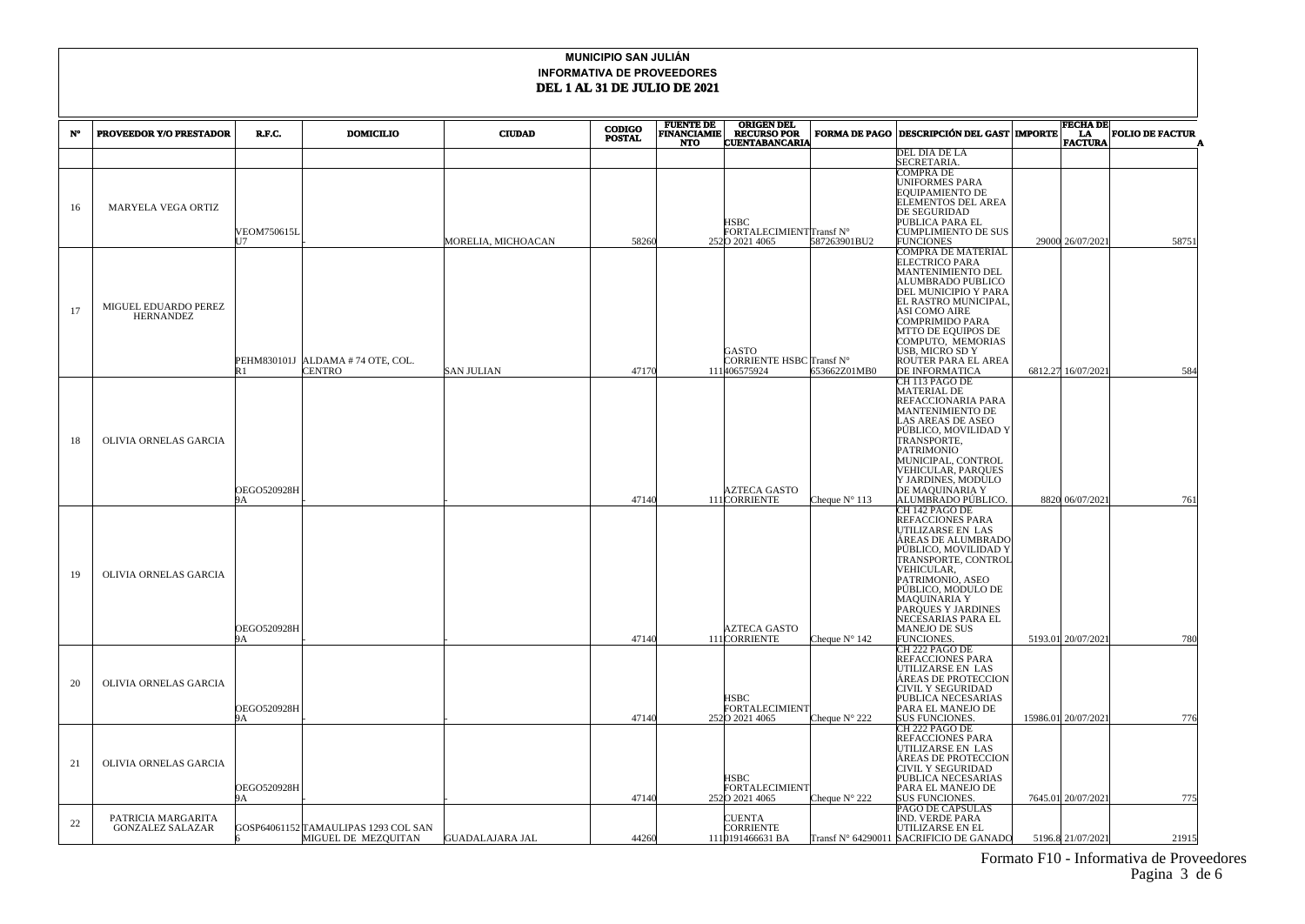|    |                                               |                          |                                                             |                    | <b>CODIGO</b> | <b>FUENTE DE</b>                 | <b>ORIGEN DEL</b>                                        |                        |                                                                                                                                                                                                                                                                         | <b>FECHA DE</b>      |                        |
|----|-----------------------------------------------|--------------------------|-------------------------------------------------------------|--------------------|---------------|----------------------------------|----------------------------------------------------------|------------------------|-------------------------------------------------------------------------------------------------------------------------------------------------------------------------------------------------------------------------------------------------------------------------|----------------------|------------------------|
| N° | <b>PROVEEDOR Y/O PRESTADOR</b>                | R.F.C.                   | <b>DOMICILIO</b>                                            | <b>CIUDAD</b>      | <b>POSTAL</b> | <b>FINANCIAMIE</b><br><b>NTO</b> | RECURSO POR<br>CUENTABANCARIA                            |                        | FORMA DE PAGO DESCRIPCIÓN DEL GAST MPORTE                                                                                                                                                                                                                               | <b>LA</b><br>FACTURA | <b>FOLIO DE FACTUR</b> |
|    |                                               |                          |                                                             |                    |               |                                  |                                                          |                        | DEL DIA DE LA                                                                                                                                                                                                                                                           |                      |                        |
|    |                                               |                          |                                                             |                    |               |                                  |                                                          |                        | SECRETARIA.                                                                                                                                                                                                                                                             |                      |                        |
| 16 | MARYELA VEGA ORTIZ                            | VEOM750615L<br>17        |                                                             | MORELIA, MICHOACAN | 58260         |                                  | <b>HSBC</b><br>FORTALECIMIENTTransf N°<br>2520 2021 4065 | 587263901BU2           | COMPRA DE<br>UNIFORMES PARA<br>EQUIPAMIENTO DE<br>ELEMENTOS DEL AREA<br>DE SEGURIDAD<br>PUBLICA PARA EL<br><b>CUMPLIMIENTO DE SUS</b><br><b>FUNCIONES</b>                                                                                                               | 29000 26/07/2021     | 58751                  |
|    |                                               |                          |                                                             |                    |               |                                  |                                                          |                        | COMPRA DE MATERIAL                                                                                                                                                                                                                                                      |                      |                        |
| 17 | MIGUEL EDUARDO PEREZ<br><b>HERNANDEZ</b>      | IR 1                     | PEHM830101J ALDAMA #74 OTE, COL.<br><b>CENTRO</b>           | <b>SAN JULIAN</b>  | 47170         |                                  | <b>GASTO</b><br>CORRIENTE HSBC Transf N°<br>111406575924 | 653662Z01MB0           | <b>ELECTRICO PARA</b><br>MANTENIMIENTO DEL<br><b>ALUMBRADO PUBLICO</b><br>DEL MUNICIPIO Y PARA<br>EL RASTRO MUNICIPAL<br>ASI COMO AIRE<br>COMPRIMIDO PARA<br>MTTO DE EQUIPOS DE<br>COMPUTO, MEMORIAS<br>USB, MICRO SD Y<br>ROUTER PARA EL AREA<br><b>DE INFORMATICA</b> | 6812.27 16/07/2021   | 584                    |
|    |                                               |                          |                                                             |                    |               |                                  |                                                          |                        | CH 113 PAGO DE                                                                                                                                                                                                                                                          |                      |                        |
| 18 | OLIVIA ORNELAS GARCIA                         | OEGO520928H              |                                                             |                    |               |                                  | AZTECA GASTO                                             |                        | <b>MATERIAL DE</b><br>REFACCIONARIA PARA<br>MANTENIMIENTO DE<br>AS AREAS DE ASEO<br>PÚBLICO, MOVILIDAD Y<br>TRANSPORTE,<br>PATRIMONIO<br>MUNICIPAL, CONTROL<br>VEHICULAR, PARQUES<br>Y JARDINES, MODULO<br>DE MAQUINARIA Y                                              |                      |                        |
|    |                                               |                          |                                                             |                    | 47140         |                                  | 111CORRIENTE                                             | Cheque $N^{\circ}$ 113 | ALUMBRADO PÚBLICO.<br>CH 142 PAGO DE                                                                                                                                                                                                                                    | 8820 06/07/2021      | 761                    |
| 19 | OLIVIA ORNELAS GARCIA                         | <b>OEGO520928H</b>       |                                                             |                    | 47140         |                                  | AZTECA GASTO                                             |                        | REFACCIONES PARA<br>UTILIZARSE EN LAS<br>ÁREAS DE ALUMBRADO<br>PÚBLICO, MOVILIDAD Y<br>TRANSPORTE, CONTROL<br>VEHICULAR,<br>PATRIMONIO, ASEO<br>PÚBLICO, MODULO DE<br>MAQUINARIA Y<br>PARQUES Y JARDINES<br>NECESARIAS PARA EL<br><b>MANEJO DE SUS</b>                  | 5193.01 20/07/2021   |                        |
|    |                                               | 9А                       |                                                             |                    |               |                                  | 111 CORRIENTE                                            | Cheque $N^{\circ}$ 142 | FUNCIONES.<br>CH 222 PAGO DE                                                                                                                                                                                                                                            |                      | 780                    |
| 20 | OLIVIA ORNELAS GARCIA                         | <b>OEGO520928H</b><br>9А |                                                             |                    | 47140         |                                  | <b>HSBC</b><br>FORTALECIMIENT<br>2520 2021 4065          | Cheque $N^{\circ}$ 222 | REFACCIONES PARA<br>UTILIZARSE EN LAS<br>ÁREAS DE PROTECCION<br>CIVIL Y SEGURIDAD<br>PUBLICA NECESARIAS<br>PARA EL MANEJO DE<br><b>SUS FUNCIONES.</b>                                                                                                                   | 15986.01 20/07/2021  | 776                    |
| 21 | OLIVIA ORNELAS GARCIA                         | <b>OEGO520928H</b><br>9А |                                                             |                    | 47140         |                                  | HSBC<br><b>FORTALECIMIENT</b><br>2520 2021 4065          | Cheque N° 222          | CH 222 PAGO DE<br>REFACCIONES PARA<br>JTILIZARSE EN LAS<br>ÁREAS DE PROTECCION<br>CIVIL Y SEGURIDAD<br>PUBLICA NECESARIAS<br>PARA EL MANEJO DE<br><b>SUS FUNCIONES.</b>                                                                                                 | 7645.01 20/07/2021   | 775                    |
|    |                                               |                          |                                                             |                    |               |                                  |                                                          |                        | PAGO DE CAPSULAS                                                                                                                                                                                                                                                        |                      |                        |
| 22 | PATRICIA MARGARITA<br><b>GONZALEZ SALAZAR</b> |                          | GOSP64061152 TAMAULIPAS 1293 COL SAN<br>MIGUEL DE MEZQUITAN | GUADALAJARA JAL    | 44260         |                                  | <b>CUENTA</b><br>CORRIENTE<br>1110191466631 BA           |                        | IND. VERDE PARA<br>UTILIZARSE EN EL<br>Transf N° 64290011 SACRIFICIO DE GANADO                                                                                                                                                                                          | 5196.8 21/07/2021    | 21915                  |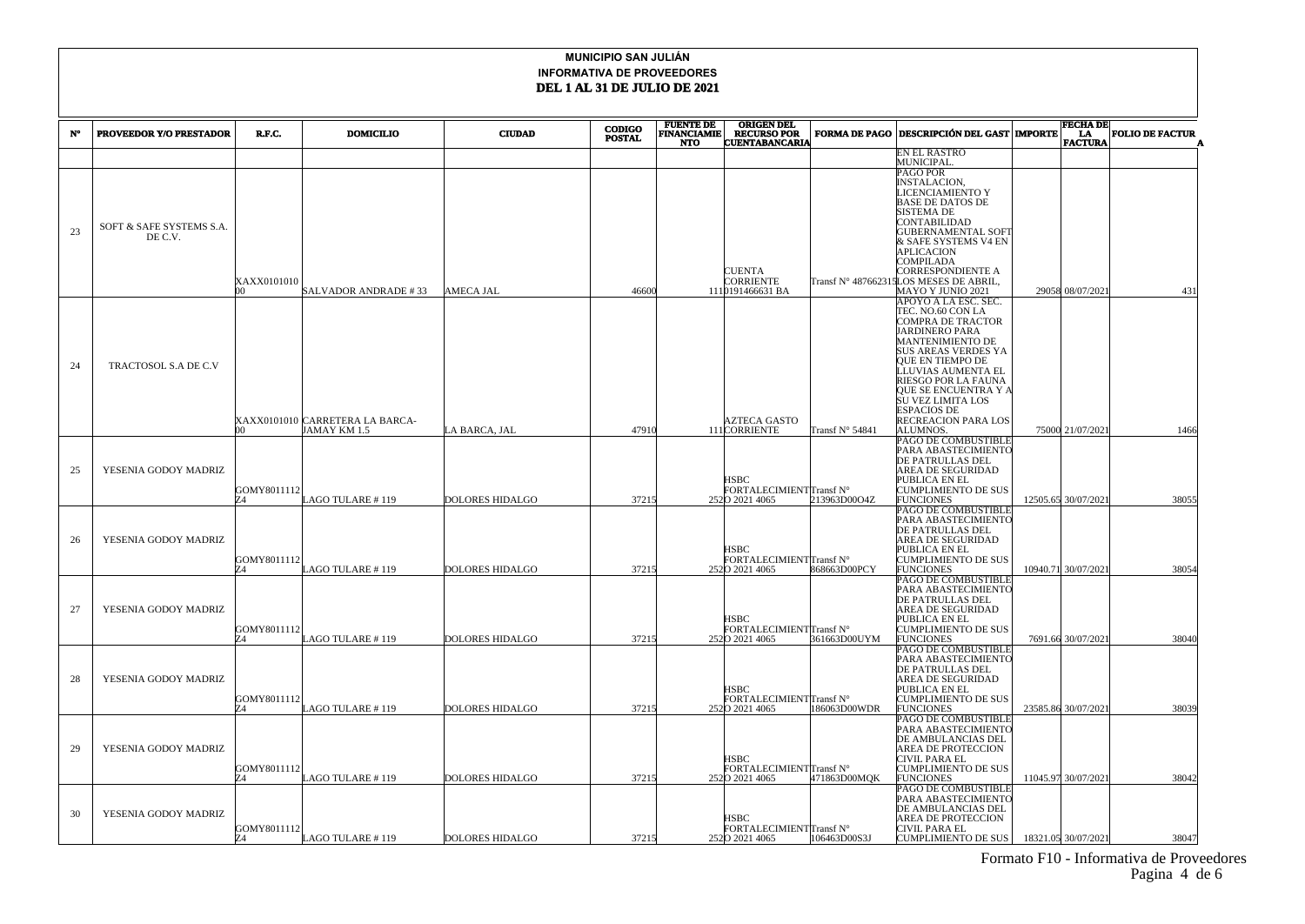|    |                                |                   |                                 |                        | <b>CODIGO</b> | <b>FUENTE DE</b><br><b>ORIGEN DEL</b> |                                           |                      | <b>FECHA DE</b>                            |                     |                        |  |
|----|--------------------------------|-------------------|---------------------------------|------------------------|---------------|---------------------------------------|-------------------------------------------|----------------------|--------------------------------------------|---------------------|------------------------|--|
| N° | <b>PROVEEDOR Y/O PRESTADOR</b> | R.F.C.            | <b>DOMICILIO</b>                | <b>CIUDAD</b>          | <b>POSTAL</b> | <b>FINANCIAMIE</b><br><b>NTO</b>      | <b>RECURSO POR<br/>CUENTABANCARIA</b>     | <b>FORMA DE PAGO</b> | <b>DESCRIPCIÓN DEL GAST   IMPORTE</b>      | LA<br>FACTURA       | <b>FOLIO DE FACTUR</b> |  |
|    |                                |                   |                                 |                        |               |                                       |                                           |                      | EN EL RASTRO                               |                     |                        |  |
|    |                                |                   |                                 |                        |               |                                       |                                           |                      | MUNICIPAL                                  |                     |                        |  |
|    |                                |                   |                                 |                        |               |                                       |                                           |                      | PAGO POR<br>NSTALACION,                    |                     |                        |  |
|    |                                |                   |                                 |                        |               |                                       |                                           |                      | <b>JCENCIAMIENTO Y</b>                     |                     |                        |  |
|    |                                |                   |                                 |                        |               |                                       |                                           |                      | BASE DE DATOS DE                           |                     |                        |  |
|    |                                |                   |                                 |                        |               |                                       |                                           |                      | SISTEMA DE                                 |                     |                        |  |
| 23 | SOFT & SAFE SYSTEMS S.A.       |                   |                                 |                        |               |                                       |                                           |                      | CONTABILIDAD<br><b>GUBERNAMENTAL SOF</b>   |                     |                        |  |
|    | DE C.V.                        |                   |                                 |                        |               |                                       |                                           |                      | & SAFE SYSTEMS V4 EN                       |                     |                        |  |
|    |                                |                   |                                 |                        |               |                                       |                                           |                      | APLICACION                                 |                     |                        |  |
|    |                                |                   |                                 |                        |               |                                       | CUENTA                                    |                      | COMPILADA<br>CORRESPONDIENTE A             |                     |                        |  |
|    |                                | XAXX0101010       |                                 |                        |               |                                       | CORRIENTE                                 | Fransf N° 48766231   | LOS MESES DE ABRIL.                        |                     |                        |  |
|    |                                | m                 | SALVADOR ANDRADE #33            | <b>AMECA JAL</b>       | 46600         |                                       | 1110191466631 BA                          |                      | MAYO Y JUNIO 2021                          | 29058 08/07/2021    | 431                    |  |
|    |                                |                   |                                 |                        |               |                                       |                                           |                      | APOYO A LA ESC. SEC.                       |                     |                        |  |
|    |                                |                   |                                 |                        |               |                                       |                                           |                      | TEC. NO.60 CON LA<br>COMPRA DE TRACTOR     |                     |                        |  |
|    |                                |                   |                                 |                        |               |                                       |                                           |                      | <b>JARDINERO PARA</b>                      |                     |                        |  |
|    |                                |                   |                                 |                        |               |                                       |                                           |                      | MANTENIMIENTO DE                           |                     |                        |  |
|    |                                |                   |                                 |                        |               |                                       |                                           |                      | SUS AREAS VERDES YA<br>QUE EN TIEMPO DE    |                     |                        |  |
| 24 | TRACTOSOL S.A DE C.V           |                   |                                 |                        |               |                                       |                                           |                      | LUVIAS AUMENTA EL                          |                     |                        |  |
|    |                                |                   |                                 |                        |               |                                       |                                           |                      | RIESGO POR LA FAUNA                        |                     |                        |  |
|    |                                |                   |                                 |                        |               |                                       |                                           |                      | QUE SE ENCUENTRA Y A<br>SU VEZ LIMITA LOS  |                     |                        |  |
|    |                                |                   |                                 |                        |               |                                       |                                           |                      | ESPACIOS DE                                |                     |                        |  |
|    |                                |                   | XAXX0101010 CARRETERA LA BARCA- |                        |               |                                       | AZTECA GASTO                              |                      | RECREACION PARA LOS                        |                     |                        |  |
|    |                                | m                 | JAMAY KM 1.5                    | .A BARCA, JAL          | 47910         |                                       | 111 CORRIENTE                             | Fransf N° 54841      | ALUMNOS.                                   | 75000 21/07/2021    | 1466                   |  |
|    |                                |                   |                                 |                        |               |                                       |                                           |                      | PAGO DE COMBUSTIBLE<br>PARA ABASTECIMIENTO |                     |                        |  |
|    |                                |                   |                                 |                        |               |                                       |                                           |                      | DE PATRULLAS DEL                           |                     |                        |  |
| 25 | YESENIA GODOY MADRIZ           |                   |                                 |                        |               |                                       |                                           |                      | AREA DE SEGURIDAD                          |                     |                        |  |
|    |                                | GOMY8011112       |                                 |                        |               |                                       | <b>HSBC</b><br>FORTALECIMIENTTransf N°    |                      | PUBLICA EN EL<br>CUMPLIMIENTO DE SUS       |                     |                        |  |
|    |                                | 74                | LAGO TULARE #119                | <b>DOLORES HIDALGO</b> | 37215         |                                       | 2520 2021 4065                            | 213963D00O4Z         | <b>FUNCIONES</b>                           | 12505.65 30/07/2021 | 38055                  |  |
|    |                                |                   |                                 |                        |               |                                       |                                           |                      | PAGO DE COMBUSTIBLE                        |                     |                        |  |
|    |                                |                   |                                 |                        |               |                                       |                                           |                      | PARA ABASTECIMIENTC<br>DE PATRULLAS DEL    |                     |                        |  |
| 26 | YESENIA GODOY MADRIZ           |                   |                                 |                        |               |                                       |                                           |                      | AREA DE SEGURIDAD                          |                     |                        |  |
|    |                                |                   |                                 |                        |               |                                       | HSBC                                      |                      | PUBLICA EN EL                              |                     |                        |  |
|    |                                | GOMY8011112<br>74 |                                 |                        | 37215         |                                       | FORTALECIMIENTTransf N°                   | 868663D00PCY         | CUMPLIMIENTO DE SUS                        |                     |                        |  |
|    |                                |                   | LAGO TULARE #119                | <b>DOLORES HIDALGO</b> |               |                                       | 2520 2021 4065                            |                      | FUNCIONES<br>PAGO DE COMBUSTIBLE           | 10940.71 30/07/2021 | 38054                  |  |
|    |                                |                   |                                 |                        |               |                                       |                                           |                      | PARA ABASTECIMIENTO                        |                     |                        |  |
|    |                                |                   |                                 |                        |               |                                       |                                           |                      | DE PATRULLAS DEL                           |                     |                        |  |
| 27 | YESENIA GODOY MADRIZ           |                   |                                 |                        |               |                                       | <b>HSBC</b>                               |                      | AREA DE SEGURIDAD<br>PUBLICA EN EL         |                     |                        |  |
|    |                                | GOMY8011112       |                                 |                        |               |                                       | FORTALECIMIENTTransf N°                   |                      | CUMPLIMIENTO DE SUS                        |                     |                        |  |
|    |                                | 74                | LAGO TULARE #119                | <b>DOLORES HIDALGO</b> | 37215         |                                       | 2520 2021 4065                            | 361663D00UYM         | <b>FUNCIONES</b>                           | 7691.66 30/07/2021  | 38040                  |  |
|    |                                |                   |                                 |                        |               |                                       |                                           |                      | PAGO DE COMBUSTIBLE<br>PARA ABASTECIMIENTO |                     |                        |  |
|    |                                |                   |                                 |                        |               |                                       |                                           |                      | DE PATRULLAS DEL                           |                     |                        |  |
| 28 | YESENIA GODOY MADRIZ           |                   |                                 |                        |               |                                       |                                           |                      | AREA DE SEGURIDAD                          |                     |                        |  |
|    |                                | GOMY8011112       |                                 |                        |               |                                       | HSBC<br>FORTALECIMIENTTransf N°           |                      | PUBLICA EN EL<br>CUMPLIMIENTO DE SUS       |                     |                        |  |
|    |                                | Z4                | LAGO TULARE # 119               | DOLORES HIDALGO        | 37215         |                                       | 2520 2021 4065                            | 186063D00WDR         | <b>FUNCIONES</b>                           | 23585.86 30/07/2021 | 38039                  |  |
|    |                                |                   |                                 |                        |               |                                       |                                           |                      | PAGO DE COMBUSTIBLE                        |                     |                        |  |
|    |                                |                   |                                 |                        |               |                                       |                                           |                      | PARA ABASTECIMIENTC<br>DE AMBULANCIAS DEL  |                     |                        |  |
| 29 | YESENIA GODOY MADRIZ           |                   |                                 |                        |               |                                       |                                           |                      | AREA DE PROTECCION                         |                     |                        |  |
|    |                                |                   |                                 |                        |               |                                       | <b>HSBC</b>                               |                      | CIVIL PARA EL                              |                     |                        |  |
|    |                                | GOMY8011112<br>74 | LAGO TULARE #119                | <b>DOLORES HIDALGO</b> | 37215         |                                       | FORTALECIMIENTTransf N°<br>2520 2021 4065 | 471863D00MQK         | CUMPLIMIENTO DE SUS<br>FUNCIONES           | 11045.97 30/07/2021 | 38042                  |  |
|    |                                |                   |                                 |                        |               |                                       |                                           |                      | PAGO DE COMBUSTIBLE                        |                     |                        |  |
|    |                                |                   |                                 |                        |               |                                       |                                           |                      | <b>PARA ABASTECIMIENTC</b>                 |                     |                        |  |
| 30 | YESENIA GODOY MADRIZ           |                   |                                 |                        |               |                                       | HSBC                                      |                      | DE AMBULANCIAS DEL<br>AREA DE PROTECCION   |                     |                        |  |
|    |                                | GOMY8011112       |                                 |                        |               |                                       | FORTALECIMIENTTransf N°                   |                      | CIVIL PARA EL                              |                     |                        |  |
|    |                                | IZ4               | LAGO TULARE # 119               | <b>DOLORES HIDALGO</b> | 37215         |                                       | 2520 2021 4065                            | 106463D00S3J         | CUMPLIMIENTO DE SUS                        | 18321.05 30/07/2021 | 38047                  |  |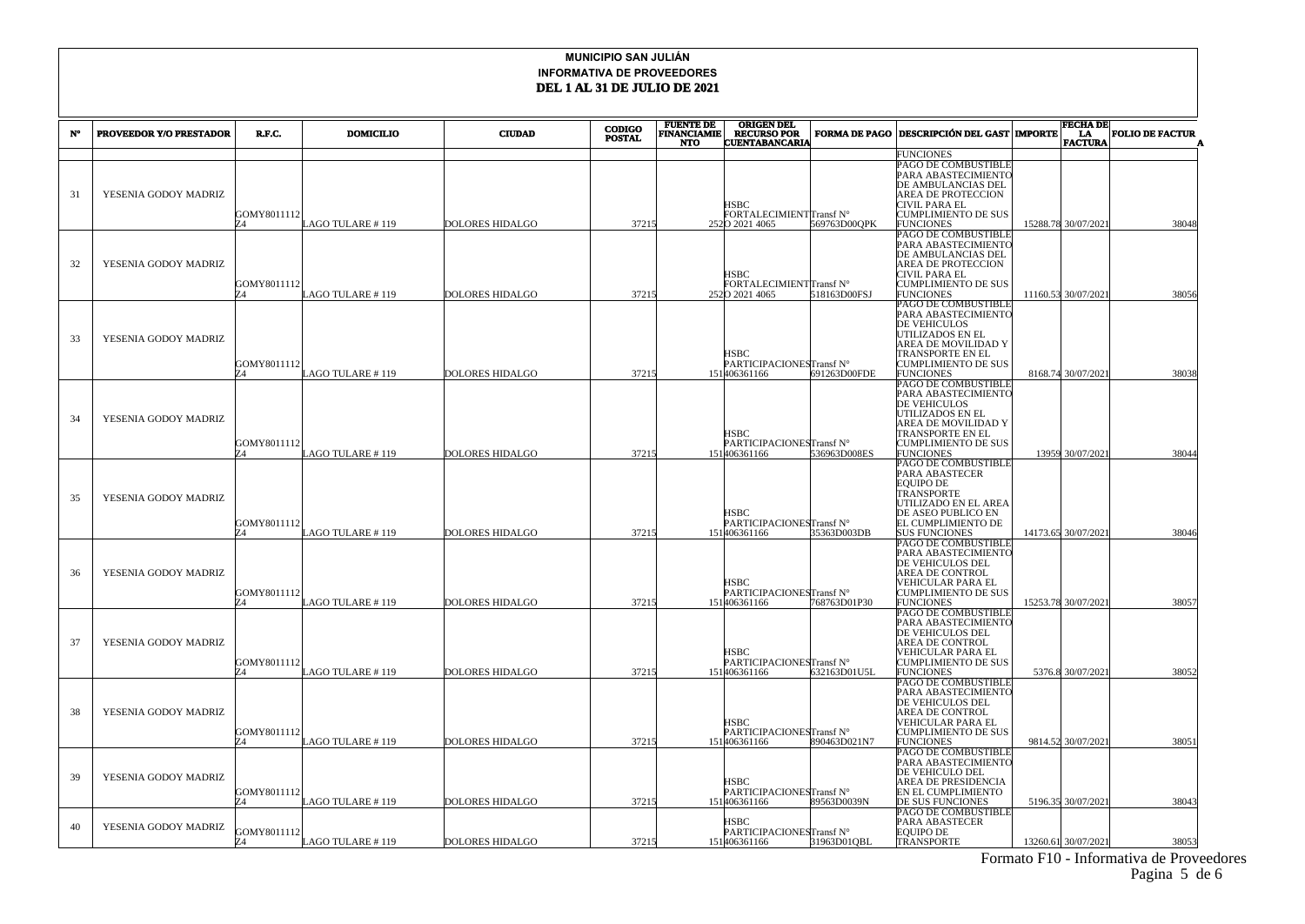|    |                                |                   |                  |                        |               | <b>FUENTE DE<br/>FINANCIAMIE</b><br><b>CODIGO</b> |                                                   | <b>ORIGEN DEL</b>    |                                                                                                                                                                                    | <b>FECHA DE</b>       |                        |  |
|----|--------------------------------|-------------------|------------------|------------------------|---------------|---------------------------------------------------|---------------------------------------------------|----------------------|------------------------------------------------------------------------------------------------------------------------------------------------------------------------------------|-----------------------|------------------------|--|
| N° | <b>PROVEEDOR Y/O PRESTADOR</b> | R.F.C.            | <b>DOMICILIO</b> | <b>CIUDAD</b>          | <b>POSTAL</b> | <b>NTO</b>                                        | <b>RECURSO POR</b><br><b>CUENTABANCARIA</b>       | <b>FORMA DE PAGO</b> | <b>DESCRIPCIÓN DEL GAST MIPORTE</b>                                                                                                                                                | LA.<br><b>FACTURA</b> | <b>FOLIO DE FACTUR</b> |  |
|    |                                |                   |                  |                        |               |                                                   |                                                   |                      | <b>FUNCIONES</b>                                                                                                                                                                   |                       |                        |  |
| 31 | YESENIA GODOY MADRIZ           | GOMY8011112<br>74 | LAGO TULARE #119 | <b>DOLORES HIDALGO</b> | 37215         |                                                   | ISBC<br>FORTALECIMIENTTransf N°<br>2520 2021 4065 | 569763D00QPK         | PAGO DE COMBUSTIBLE<br>PARA ABASTECIMIENTO<br>DE AMBULANCIAS DEL<br>AREA DE PROTECCION<br>CIVIL PARA EL<br><b>CUMPLIMIENTO DE SUS</b><br><b>FUNCIONES</b>                          | 15288.78 30/07/2021   | 38048                  |  |
| 32 | YESENIA GODOY MADRIZ           | GOMY8011112<br>74 | AGO TULARE #119  | <b>DOLORES HIDALGO</b> | 37215         |                                                   | HSBC<br>FORTALECIMIENTTransf N°<br>2520 2021 4065 | 518163D00FSJ         | PAGO DE COMBUSTIBLE<br>PARA ABASTECIMIENTO<br>DE AMBULANCIAS DEL<br>AREA DE PROTECCION<br>CIVIL PARA EL<br><b>CUMPLIMIENTO DE SUS</b><br><b>FUNCIONES</b>                          | 11160.53 30/07/2021   | 38056                  |  |
| 33 | YESENIA GODOY MADRIZ           | GOMY8011112<br>Z4 | LAGO TULARE #119 | <b>DOLORES HIDALGO</b> | 37215         |                                                   | HSBC<br>PARTICIPACIONESTransf N°<br>151406361166  | 691263D00FDE         | PAGO DE COMBUSTIBLE<br>PARA ABASTECIMIENTO<br>DE VEHICULOS<br>UTILIZADOS EN EL<br>AREA DE MOVILIDAD Y<br><b>TRANSPORTE EN EL</b><br><b>CUMPLIMIENTO DE SUS</b><br><b>FUNCIONES</b> | 8168.74 30/07/2021    | 38038                  |  |
| 34 | YESENIA GODOY MADRIZ           | GOMY8011112       | AGO TULARE # 119 | <b>DOLORES HIDALGO</b> | 37215         |                                                   | HSBC<br>PARTICIPACIONESTransf N°<br>151406361166  | 536963D008ES         | PAGO DE COMBUSTIBLE<br>PARA ABASTECIMIENTC<br><b>DE VEHICULOS</b><br>UTILIZADOS EN EL<br>AREA DE MOVILIDAD Y<br>TRANSPORTE EN EL<br>CUMPLIMIENTO DE SUS<br><b>FUNCIONES</b>        | 13959 30/07/2021      | 38044                  |  |
| 35 | YESENIA GODOY MADRIZ           | GOMY8011112       | AGO TULARE #119  | <b>DOLORES HIDALGO</b> | 37215         |                                                   | HSBC<br>PARTICIPACIONESTransf N°<br>151406361166  | 35363D003DB          | PAGO DE COMBUSTIBLE<br>PARA ABASTECER<br><b>EOUIPO DE</b><br>TRANSPORTE<br>UTILIZADO EN EL AREA<br>DE ASEO PUBLICO EN<br>EL CUMPLIMIENTO DE<br><b>SUS FUNCIONES</b>                | 14173.65 30/07/2021   | 38046                  |  |
| 36 | YESENIA GODOY MADRIZ           | GOMY8011112<br>74 | AGO TULARE #119  | <b>DOLORES HIDALGO</b> | 37215         |                                                   | HSBC<br>PARTICIPACIONESTransf N°<br>151406361166  | 768763D01P30         | PAGO DE COMBUSTIBLE<br>PARA ABASTECIMIENTO<br>DE VEHICULOS DEL<br>AREA DE CONTROL<br>VEHICULAR PARA EL<br><b>CUMPLIMIENTO DE SUS</b><br><b>FUNCIONES</b>                           | 15253.78 30/07/2021   | 38057                  |  |
| 37 | YESENIA GODOY MADRIZ           | GOMY8011112<br>74 | AGO TULARE #119  | <b>DOLORES HIDALGO</b> | 37215         |                                                   | HSBC<br>PARTICIPACIONESTransf N°<br>151406361166  | 632163D01U5L         | PAGO DE COMBUSTIBLE<br>PARA ABASTECIMIENTO<br>DE VEHICULOS DEL<br>AREA DE CONTROL<br>VEHICULAR PARA EL<br><b>CUMPLIMIENTO DE SUS</b><br><b>FUNCIONES</b>                           | 5376.8 30/07/2021     | 38052                  |  |
| 38 | YESENIA GODOY MADRIZ           | GOMY8011112       | AGO TULARE #119  | <b>DOLORES HIDALGO</b> | 37215         |                                                   | HSBC<br>PARTICIPACIONESTransf N°<br>151406361166  | 890463D021N7         | PAGO DE COMBUSTIBLE<br>PARA ABASTECIMIENTC<br>DE VEHICULOS DEL<br>AREA DE CONTROL<br>VEHICULAR PARA EL<br>CUMPLIMIENTO DE SUS<br><b>FUNCIONES</b>                                  | 9814.52 30/07/2021    | 38051                  |  |
| 39 | YESENIA GODOY MADRIZ           | GOMY8011112<br>74 | AGO TULARE #119  | DOLORES HIDALGO        | 37215         |                                                   | HSBC<br>PARTICIPACIONESTransf N°<br>151406361166  | 89563D0039N          | PAGO DE COMBUSTIBLE<br>PARA ABASTECIMIENTO<br>DE VEHICULO DEL<br>AREA DE PRESIDENCIA<br>EN EL CUMPLIMIENTO<br>DE SUS FUNCIONES                                                     | 5196.35 30/07/2021    | 38043                  |  |
| 40 | YESENIA GODOY MADRIZ           | GOMY8011112       | LAGO TULARE #119 | <b>DOLORES HIDALGO</b> | 37215         |                                                   | HSBC<br>PARTICIPACIONESTransf N°<br>151406361166  | 31963D01QBL          | PAGO DE COMBUSTIBLE<br>PARA ABASTECER<br><b>EQUIPO DE</b><br>TRANSPORTE                                                                                                            | 13260.61 30/07/2021   | 38053                  |  |

 Formato F10 - Informativa de Proveedores Pagina 5 de 6